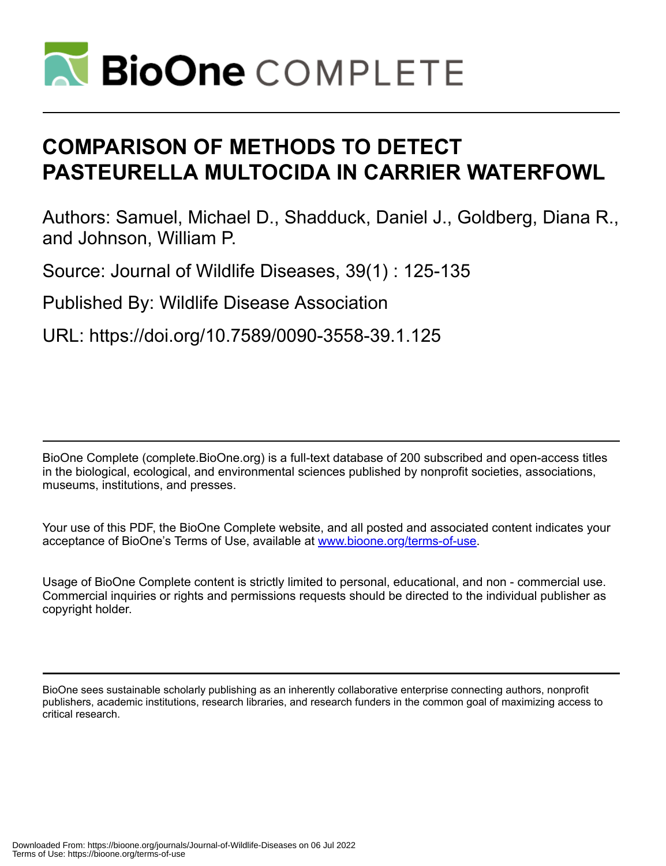

# **COMPARISON OF METHODS TO DETECT PASTEURELLA MULTOCIDA IN CARRIER WATERFOWL**

Authors: Samuel, Michael D., Shadduck, Daniel J., Goldberg, Diana R., and Johnson, William P.

Source: Journal of Wildlife Diseases, 39(1) : 125-135

Published By: Wildlife Disease Association

URL: https://doi.org/10.7589/0090-3558-39.1.125

BioOne Complete (complete.BioOne.org) is a full-text database of 200 subscribed and open-access titles in the biological, ecological, and environmental sciences published by nonprofit societies, associations, museums, institutions, and presses.

Your use of this PDF, the BioOne Complete website, and all posted and associated content indicates your acceptance of BioOne's Terms of Use, available at www.bioone.org/terms-of-use.

Usage of BioOne Complete content is strictly limited to personal, educational, and non - commercial use. Commercial inquiries or rights and permissions requests should be directed to the individual publisher as copyright holder.

BioOne sees sustainable scholarly publishing as an inherently collaborative enterprise connecting authors, nonprofit publishers, academic institutions, research libraries, and research funders in the common goal of maximizing access to critical research.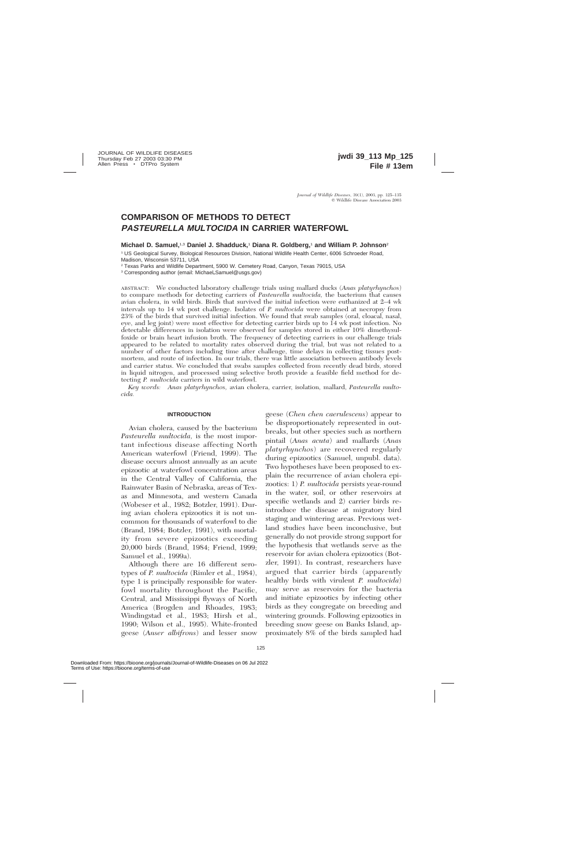# **COMPARISON OF METHODS TO DETECT PASTEURELLA MULTOCIDA IN CARRIER WATERFOWL**

**Michael D. Samuel,**1,3 **Daniel J. Shadduck,**<sup>1</sup> **Diana R. Goldberg,**<sup>1</sup> **and William P. Johnson**<sup>2</sup>

<sup>1</sup> US Geological Survey, Biological Resources Division, National Wildlife Health Center, 6006 Schroeder Road, Madison, Wisconsin 53711, USA

<sup>2</sup> Texas Parks and Wildlife Department, 5900 W. Cemetery Road, Canyon, Texas 79015, USA

<sup>3</sup> Corresponding author (email: Michael\_Samuel@usgs.gov)

ABSTRACT: We conducted laboratory challenge trials using mallard ducks (*Anas platyrhynchos*) to compare methods for detecting carriers of *Pasteurella multocida,* the bacterium that causes avian cholera, in wild birds. Birds that survived the initial infection were euthanized at 2–4 wk intervals up to 14 wk post challenge. Isolates of *P. multocida* were obtained at necropsy from 23% of the birds that survived initial infection. We found that swab samples (oral, cloacal, nasal, eye, and leg joint) were most effective for detecting carrier birds up to 14 wk post infection. No detectable differences in isolation were observed for samples stored in either 10% dimethysulfoxide or brain heart infusion broth. The frequency of detecting carriers in our challenge trials appeared to be related to mortality rates observed during the trial, but was not related to a number of other factors including time after challenge, time delays in collecting tissues postmortem, and route of infection. In our trials, there was little association between antibody levels and carrier status. We concluded that swabs samples collected from recently dead birds, stored in liquid nitrogen, and processed using selective broth provide a feasible field method for detecting *P. multocida* carriers in wild waterfowl.

*Key words: Anas platyrhynchos,* avian cholera, carrier, isolation, mallard, *Pasteurella multocida.*

#### **INTRODUCTION**

Avian cholera, caused by the bacterium *Pasteurella multocida,* is the most important infectious disease affecting North American waterfowl (Friend, 1999). The disease occurs almost annually as an acute epizootic at waterfowl concentration areas in the Central Valley of California, the Rainwater Basin of Nebraska, areas of Texas and Minnesota, and western Canada (Wobeser et al., 1982; Botzler, 1991). During avian cholera epizootics it is not uncommon for thousands of waterfowl to die (Brand, 1984; Botzler, 1991), with mortality from severe epizootics exceeding 20,000 birds (Brand, 1984; Friend, 1999; Samuel et al., 1999a).

Although there are 16 different serotypes of *P. multocida* (Rimler et al., 1984), type 1 is principally responsible for waterfowl mortality throughout the Pacific, Central, and Mississippi flyways of North America (Brogden and Rhoades, 1983; Windingstad et al., 1983; Hirsh et al., 1990; Wilson et al., 1995). White-fronted geese (*Anser albifrons*) and lesser snow

geese (*Chen chen caerulescens*) appear to be disproportionately represented in outbreaks, but other species such as northern pintail (*Anas acuta*) and mallards (*Anas platyrhynchos*) are recovered regularly during epizootics (Samuel, unpubl. data). Two hypotheses have been proposed to explain the recurrence of avian cholera epizootics: 1) *P. multocida* persists year-round in the water, soil, or other reservoirs at specific wetlands and 2) carrier birds reintroduce the disease at migratory bird staging and wintering areas. Previous wetland studies have been inconclusive, but generally do not provide strong support for the hypothesis that wetlands serve as the reservoir for avian cholera epizootics (Botzler, 1991). In contrast, researchers have argued that carrier birds (apparently healthy birds with virulent *P. multocida*) may serve as reservoirs for the bacteria and initiate epizootics by infecting other birds as they congregate on breeding and wintering grounds. Following epizootics in breeding snow geese on Banks Island, approximately 8% of the birds sampled had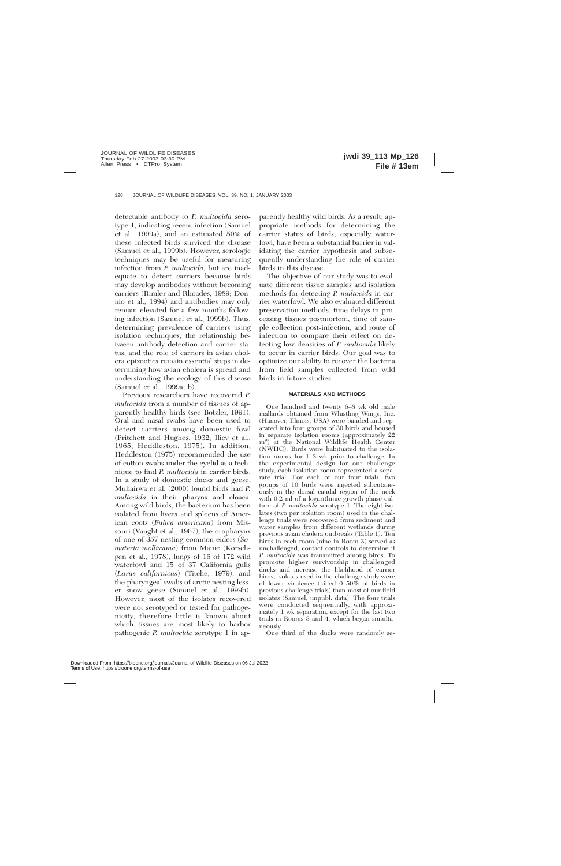detectable antibody to *P. multocida* serotype 1, indicating recent infection (Samuel et al., 1999a), and an estimated 50% of these infected birds survived the disease (Samuel et al., 1999b). However, serologic techniques may be useful for measuring infection from *P. multocida,* but are inadequate to detect carriers because birds may develop antibodies without becoming carriers (Rimler and Rhoades, 1989; Donnio et al., 1994) and antibodies may only remain elevated for a few months following infection (Samuel et al., 1999b). Thus, determining prevalence of carriers using isolation techniques, the relationship between antibody detection and carrier status, and the role of carriers in avian cholera epizootics remain essential steps in determining how avian cholera is spread and understanding the ecology of this disease (Samuel et al., 1999a, b).

Previous researchers have recovered *P. multocida* from a number of tissues of apparently healthy birds (see Botzler, 1991). Oral and nasal swabs have been used to detect carriers among domestic fowl (Pritchett and Hughes, 1932; Iliev et al., 1965; Heddleston, 1975). In addition, Heddleston (1975) recommended the use of cotton swabs under the eyelid as a technique to find *P. multocida* in carrier birds. In a study of domestic ducks and geese, Muhairwa et al. (2000) found birds had *P. multocida* in their pharynx and cloaca. Among wild birds, the bacterium has been isolated from livers and spleens of American coots (*Fulica americana*) from Missouri (Vaught et al., 1967), the oropharynx of one of 357 nesting common eiders (*Somateria mollissima*) from Maine (Korschgen et al., 1978), lungs of 16 of 172 wild waterfowl and 15 of 37 California gulls (*Larus californicus*) (Titche, 1979), and the pharyngeal swabs of arctic nesting lesser snow geese (Samuel et al., 1999b). However, most of the isolates recovered were not serotyped or tested for pathogenicity, therefore little is known about which tissues are most likely to harbor pathogenic *P. multocida* serotype 1 in ap-

parently healthy wild birds. As a result, appropriate methods for determining the carrier status of birds, especially waterfowl, have been a substantial barrier in validating the carrier hypothesis and subsequently understanding the role of carrier birds in this disease.

The objective of our study was to evaluate different tissue samples and isolation methods for detecting *P. multocida* in carrier waterfowl. We also evaluated different preservation methods, time delays in processing tissues postmortem, time of sample collection post-infection, and route of infection to compare their effect on detecting low densities of *P. multocida* likely to occur in carrier birds. Our goal was to optimize our ability to recover the bacteria from field samples collected from wild birds in future studies.

## **MATERIALS AND METHODS**

One hundred and twenty 6–8 wk old male mallards obtained from Whistling Wings, Inc. (Hanover, Illinois, USA) were banded and separated into four groups of 30 birds and housed in separate isolation rooms (approximately 22 m2) at the National Wildlife Health Center (NWHC). Birds were habituated to the isolation rooms for 1–3 wk prior to challenge. In the experimental design for our challenge study, each isolation room represented a separate trial. For each of our four trials, two groups of 10 birds were injected subcutaneously in the dorsal caudal region of the neck with 0.2 ml of a logarithmic growth phase culture of *P. multocida* serotype 1. The eight isolates (two per isolation room) used in the challenge trials were recovered from sediment and water samples from different wetlands during previous avian cholera outbreaks (Table 1). Ten birds in each room (nine in Room 3) served as unchallenged, contact controls to determine if *P. multocida* was transmitted among birds. To promote higher survivorship in challenged ducks and increase the likelihood of carrier birds, isolates used in the challenge study were of lower virulence (killed 0–50% of birds in previous challenge trials) than most of our field isolates (Samuel, unpubl. data). The four trials were conducted sequentially, with approximately 1 wk separation, except for the last two trials in Rooms 3 and 4, which began simultaneously.

One third of the ducks were randomly se-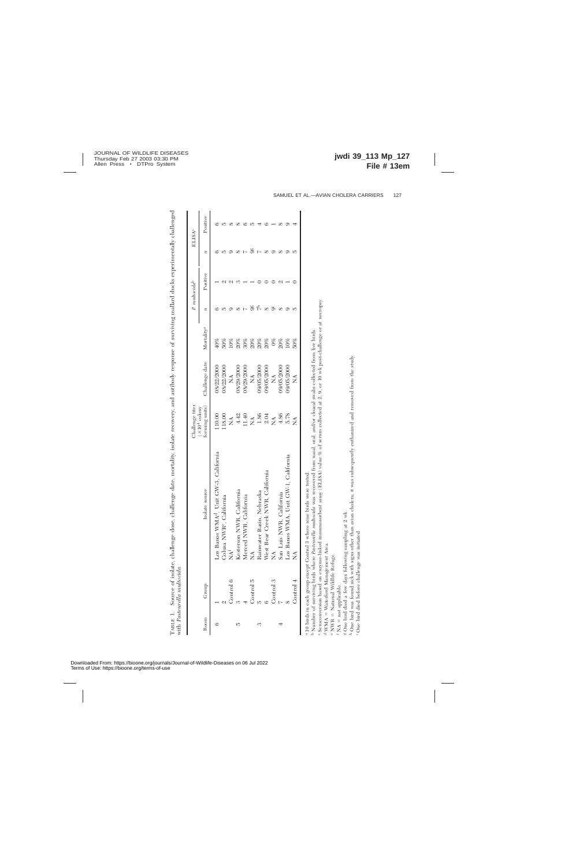Source of isolate, challenge dose, challenge date, mortality, isolate recovery, and antibody response of surviving mallard ducks experimentally challenged TABLE 1. Source of isolate, challenge dose, challenge date, mortality, isolate recovery, and antibody response of surviving mallard ducks experimentally challenged with Pasteurella multocida. with *Pasteurella multocida.*  $\Gamma_{\rm ABLE}$ 1.

|      |           |                                                                                   | hallenge titer                                                       |                           |                        |                  | P. multocida <sup>b</sup> |                  | <b>ELISA<sup>c</sup></b> |
|------|-----------|-----------------------------------------------------------------------------------|----------------------------------------------------------------------|---------------------------|------------------------|------------------|---------------------------|------------------|--------------------------|
| Room | Group     | Isolate source                                                                    | forming units)<br>$(X104$ colony                                     | Challenge date            | Mortality <sup>a</sup> | $\boldsymbol{v}$ | Positive                  | $\boldsymbol{n}$ | Positive                 |
| ٩    |           | VMA <sup>d</sup> , Unit GW-3, California<br>Los Banos V                           |                                                                      | 08/22/2000                | $40\%$                 |                  |                           |                  |                          |
|      |           | Colusa NWR <sup>e</sup> , California                                              | 18.00                                                                | 0002/22/2000              | 50%                    |                  |                           |                  |                          |
|      | Control   | NA <sup>F</sup>                                                                   | $\lessapprox$                                                        | $\mathbb{E}$              | 10%                    |                  |                           |                  |                          |
| 5    |           | Kesterson NWR, California                                                         |                                                                      | 08/29/2000                | 20%                    |                  |                           |                  |                          |
|      |           | Merced NWR, California                                                            | $\begin{array}{c} 4.42 \\ 11.40 \\ 1.86 \\ 1.86 \\ 2.04 \end{array}$ | 08/29/2000                | 30%                    |                  |                           |                  |                          |
|      | Control 5 | Ź                                                                                 |                                                                      | $\mathbb{E}$              | 20%                    |                  |                           | ೫                |                          |
| S    |           | Rainwater Basin, Nebraska                                                         |                                                                      | 09/05/2000                | 20%                    |                  |                           |                  |                          |
|      |           | West Bear Creek NWR, California                                                   |                                                                      | 09/05/2000                | 20%                    |                  |                           |                  |                          |
|      | Control 3 | Ź                                                                                 | $\vec{z}$                                                            | $\mathbb{X}^{\mathsf{A}}$ | $0\%$                  |                  |                           |                  |                          |
|      |           | San Luis NWR, California                                                          | 4.86                                                                 | 09/05/2000                | 20%                    |                  |                           |                  |                          |
|      |           | Los Banos WMA, Unit GW-1, California                                              | 5.78                                                                 | 002/2000                  | 10%                    |                  |                           |                  |                          |
|      | Control 4 | Á                                                                                 | ≸                                                                    | $\tilde{\Sigma}$          | 50%                    |                  |                           | 10               |                          |
|      |           | <sup>4</sup> 10 birds in each group except Control 3 where nine birds were tested |                                                                      |                           |                        |                  |                           |                  |                          |

10 birds in each group except Control 3 where nine birds were tested.

- 10 onto an each group except control of where mane on the tested.<br>• Number of surviving birds where *Pasteurella multocida* was recovered from nasal, oral, and/or cloacal swabs collected from live birds.

Seroconversion based on enzyme-linked immunosorbent assay (ELISA) value % of serum collected at 2, 9, or 10 wk post-challenge or at necropsy. <sup>b</sup> Number of surviving birds where *Pasteurella multocida w*as recovered from nasal, oral, and/or cloacal swabs collected from live birds.<br>' Seroconversion based on enzyme-linked immunosorbent assay (ELISA) value % of ser

d WMA = Waterfowl Management Area. 4 WMA = Waterfowl Management Area.<br>e NWR = National Wildlife Refuge.<br>f NA = not applicable.<br>g One bird died a few days following sampling at 2 wk.

e NWR = National Wildlife Refuge.

 $: NA = not applicable.$ 

s One bird died a few days following sampling at 2 wk.<br>h One bird was found sick with signs other than avian cholera; it was subsequently euthanized and removed from the study. One bird was found sick with signs other than avian cholera; it was subsequently euthanized and removed from the study.

One bird died before challenge was initiated. One bird died before challenge was initiated.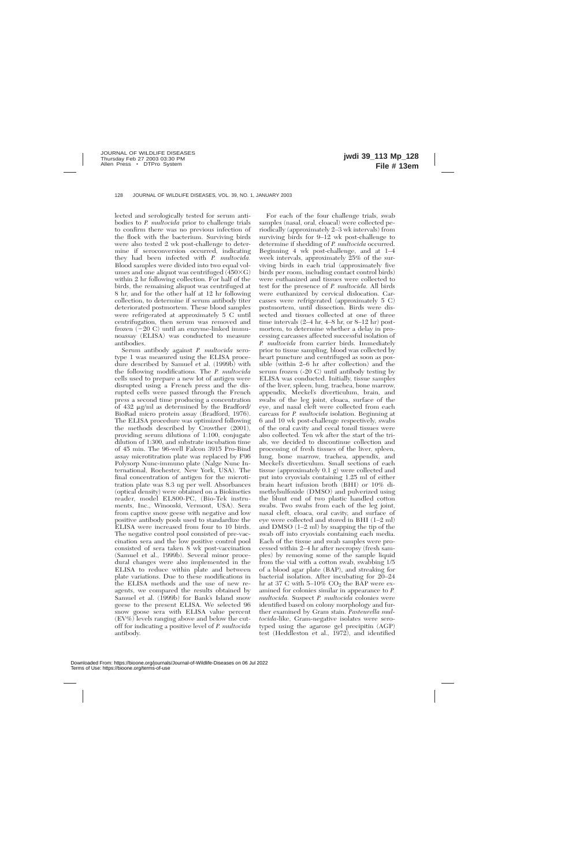lected and serologically tested for serum antibodies to *P. multocida* prior to challenge trials to confirm there was no previous infection of the flock with the bacterium. Surviving birds were also tested 2 wk post-challenge to determine if seroconversion occurred, indicating they had been infected with *P. multocida.* Blood samples were divided into two equal volumes and one aliquot was centrifuged  $(450\times G)$ within 2 hr following collection. For half of the birds, the remaining aliquot was centrifuged at 8 hr, and for the other half at 12 hr following collection, to determine if serum antibody titer deteriorated postmortem. These blood samples were refrigerated at approximately 5 C until centrifugation, then serum was removed and frozen  $(-20 \text{ C})$  until an enzyme-linked immunoassay (ELISA) was conducted to measure antibodies.

Serum antibody against *P. multocida* serotype 1 was measured using the ELISA procedure described by Samuel et al. (1999b) with the following modifications. The *P. multocida* cells used to prepare a new lot of antigen were disrupted using a French press and the disrupted cells were passed through the French press a second time producing a concentration of  $432 \mu g/ml$  as determined by the Bradford/ BioRad micro protein assay (Bradford, 1976). The ELISA procedure was optimized following the methods described by Crowther (2001), providing serum dilutions of 1:100, conjugate dilution of 1:300, and substrate incubation time of 45 min. The 96-well Falcon 3915 Pro-Bind assay microtitration plate was replaced by F96 Polysorp Nunc-immuno plate (Nalge Nunc International, Rochester, New York, USA). The final concentration of antigen for the microtitration plate was 8.3 ng per well. Absorbances (optical density) were obtained on a Biokinetics reader, model EL800-PC, (Bio-Tek instruments, Inc., Winooski, Vermont, USA). Sera from captive snow geese with negative and low positive antibody pools used to standardize the ELISA were increased from four to 10 birds. The negative control pool consisted of pre-vaccination sera and the low positive control pool consisted of sera taken 8 wk post-vaccination (Samuel et al., 1999b). Several minor procedural changes were also implemented in the ELISA to reduce within plate and between plate variations. Due to these modifications in the ELISA methods and the use of new reagents, we compared the results obtained by Samuel et al. (1999b) for Bank's Island snow geese to the present ELISA. We selected 96 snow goose sera with ELISA value percent (EV%) levels ranging above and below the cutoff for indicating a positive level of *P. multocida* antibody.

For each of the four challenge trials, swab samples (nasal, oral, cloacal) were collected periodically (approximately 2–3 wk intervals) from surviving birds for 9–12 wk post-challenge to determine if shedding of *P. multocida* occurred. Beginning 4 wk post-challenge, and at 1–4 week intervals, approximately 25% of the surviving birds in each trial (approximately five birds per room, including contact control birds) were euthanized and tissues were collected to test for the presence of *P. multocida.* All birds were euthanized by cervical dislocation. Carcasses were refrigerated (approximately 5 C) postmortem, until dissection. Birds were dissected and tissues collected at one of three time intervals  $(2-4 \text{ hr}, 4-8 \text{ hr}, \text{ or } 8-12 \text{ hr})$  postmortem, to determine whether a delay in processing carcasses affected successful isolation of *P. multocida* from carrier birds. Immediately prior to tissue sampling, blood was collected by heart puncture and centrifuged as soon as possible (within 2–6 hr after collection) and the serum frozen (-20 C) until antibody testing by ELISA was conducted. Initially, tissue samples of the liver, spleen, lung, trachea, bone marrow, appendix, Meckel's diverticulum, brain, and swabs of the leg joint, cloaca, surface of the eye, and nasal cleft were collected from each carcass for *P. multocida* isolation. Beginning at 6 and 10 wk post-challenge respectively, swabs of the oral cavity and cecal tonsil tissues were also collected. Ten wk after the start of the trials, we decided to discontinue collection and processing of fresh tissues of the liver, spleen, lung, bone marrow, trachea, appendix, and Meckel's diverticulum. Small sections of each tissue (approximately 0.1 g) were collected and put into cryovials containing 1.25 ml of either brain heart infusion broth (BHI) or 10% dimethylsulfoxide (DMSO) and pulverized using the blunt end of two plastic handled cotton swabs. Two swabs from each of the leg joint, nasal cleft, cloaca, oral cavity, and surface of eye were collected and stored in BHI (1–2 ml) and DMSO (1–2 ml) by snapping the tip of the swab off into cryovials containing each media. Each of the tissue and swab samples were processed within 2–4 hr after necropsy (fresh samples) by removing some of the sample liquid from the vial with a cotton swab, swabbing 1/5 of a blood agar plate (BAP), and streaking for bacterial isolation. After incubating for 20–24 hr at 37 C with  $5-10\%$  CO<sub>2</sub> the BAP were examined for colonies similar in appearance to *P. multocida.* Suspect *P. multocida* colonies were identified based on colony morphology and further examined by Gram stain. *Pasteurella multocida*-like, Gram-negative isolates were serotyped using the agarose gel precipitin (AGP) test (Heddleston et al., 1972), and identified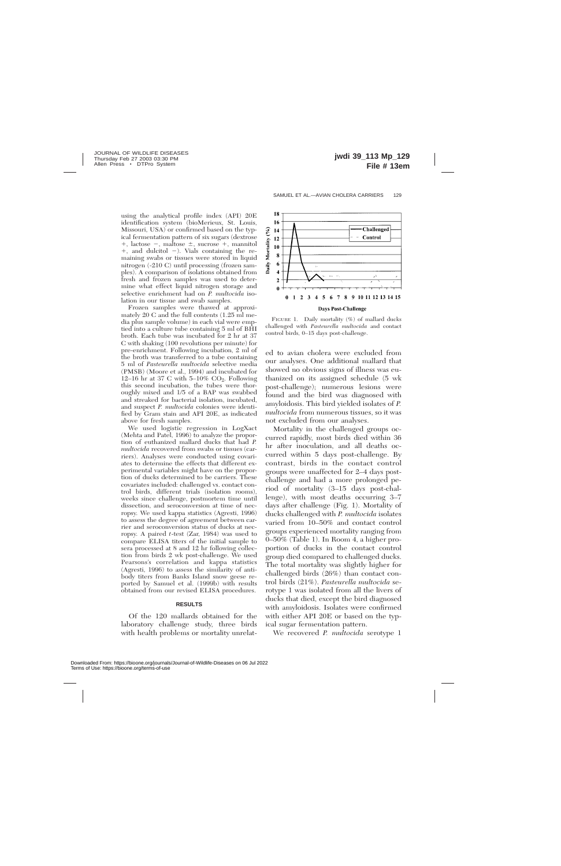using the analytical profile index (API) 20E identification system (bioMerieux, St. Louis, Missouri, USA) or confirmed based on the typical fermentation pattern of six sugars (dextrose  $+$ , lactose  $-$ , maltose  $\pm$ , sucrose  $+$ , mannitol  $+$ , and dulcitol  $-$ ). Vials containing the remaining swabs or tissues were stored in liquid nitrogen (-210 C) until processing (frozen samples). A comparison of isolations obtained from fresh and frozen samples was used to determine what effect liquid nitrogen storage and selective enrichment had on *P. multocida* isolation in our tissue and swab samples.

Frozen samples were thawed at approximately 20 C and the full contents (1.25 ml media plus sample volume) in each vial were emptied into a culture tube containing 5 ml of BHI broth. Each tube was incubated for 2 hr at 37 C with shaking (100 revolutions per minute) for pre-enrichment. Following incubation, 2 ml of the broth was transferred to a tube containing 5 ml of *Pasteurella multocida* selective media (PMSB) (Moore et al., 1994) and incubated for 12–16 hr at 37 C with  $5-10\%$  CO<sub>2</sub>. Following this second incubation, the tubes were thoroughly mixed and 1/5 of a BAP was swabbed and streaked for bacterial isolation, incubated, and suspect *P. multocida* colonies were identified by Gram stain and API 20E, as indicated above for fresh samples.

We used logistic regression in LogXact (Mehta and Patel, 1996) to analyze the proportion of euthanized mallard ducks that had *P. multocida* recovered from swabs or tissues (carriers). Analyses were conducted using covariates to determine the effects that different experimental variables might have on the proportion of ducks determined to be carriers. These covariates included: challenged vs. contact control birds, different trials (isolation rooms), weeks since challenge, postmortem time until dissection, and seroconversion at time of necropsy. We used kappa statistics (Agresti, 1996) to assess the degree of agreement between carrier and seroconversion status of ducks at necropsy. A paired *t*-test (Zar, 1984) was used to compare ELISA titers of the initial sample to sera processed at 8 and 12 hr following collection from birds 2 wk post-challenge. We used Pearsons's correlation and kappa statistics (Agresti, 1996) to assess the similarity of antibody titers from Banks Island snow geese reported by Samuel et al. (1999b) with results obtained from our revised ELISA procedures.

### **RESULTS**

Of the 120 mallards obtained for the laboratory challenge study, three birds with health problems or mortality unrelat-



FIGURE 1. Daily mortality (%) of mallard ducks challenged with *Pasteurella multocida* and contact control birds, 0–15 days post-challenge.

ed to avian cholera were excluded from our analyses. One additional mallard that showed no obvious signs of illness was euthanized on its assigned schedule (5 wk post-challenge); numerous lesions were found and the bird was diagnosed with amyloidosis. This bird yielded isolates of *P. multocida* from numerous tissues, so it was not excluded from our analyses.

Mortality in the challenged groups occurred rapidly, most birds died within 36 hr after inoculation, and all deaths occurred within 5 days post-challenge. By contrast, birds in the contact control groups were unaffected for 2–4 days postchallenge and had a more prolonged period of mortality (3–15 days post-challenge), with most deaths occurring 3–7 days after challenge (Fig. 1). Mortality of ducks challenged with *P. multocida* isolates varied from 10–50% and contact control groups experienced mortality ranging from 0–50% (Table 1). In Room 4, a higher proportion of ducks in the contact control group died compared to challenged ducks. The total mortality was slightly higher for challenged birds (26%) than contact control birds (21%). *Pasteurella multocida* serotype 1 was isolated from all the livers of ducks that died, except the bird diagnosed with amyloidosis. Isolates were confirmed with either API 20E or based on the typical sugar fermentation pattern.

We recovered *P. multocida* serotype 1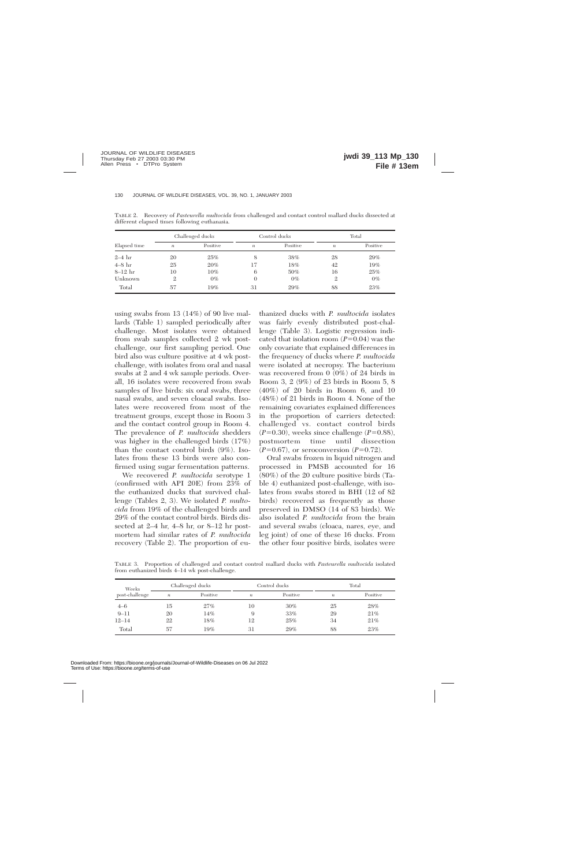|              | Challenged ducks |          | Control ducks    |          | Total            |          |
|--------------|------------------|----------|------------------|----------|------------------|----------|
| Elapsed time | $\boldsymbol{n}$ | Positive | $\boldsymbol{n}$ | Positive | $\boldsymbol{n}$ | Positive |
| $2-4$ hr     | 20               | 25%      | 8                | 38%      | 28               | 29%      |
| $4-8$ hr     | 25               | 20%      | 17               | 18%      | 42               | 19%      |
| $8-12$ hr    | 10               | 10%      | 6                | $50\%$   | 16               | 25%      |
| Unknown      | 2                | $0\%$    | $\Omega$         | $0\%$    | 2                | $0\%$    |
| Total        | 57               | 19%      | 31               | 29%      | 88               | 23%      |

TABLE 2. Recovery of *Pasteurella multocida* from challenged and contact control mallard ducks dissected at different elapsed times following euthanasia.

using swabs from 13 (14%) of 90 live mallards (Table 1) sampled periodically after challenge. Most isolates were obtained from swab samples collected 2 wk postchallenge, our first sampling period. One bird also was culture positive at 4 wk postchallenge, with isolates from oral and nasal swabs at 2 and 4 wk sample periods. Overall, 16 isolates were recovered from swab samples of live birds: six oral swabs, three nasal swabs, and seven cloacal swabs. Isolates were recovered from most of the treatment groups, except those in Room 3 and the contact control group in Room 4. The prevalence of *P. multocida* shedders was higher in the challenged birds (17%) than the contact control birds (9%). Isolates from these 13 birds were also confirmed using sugar fermentation patterns.

We recovered *P. multocida* serotype 1 (confirmed with API 20E) from 23% of the euthanized ducks that survived challenge (Tables 2, 3). We isolated *P. multocida* from 19% of the challenged birds and 29% of the contact control birds. Birds dissected at 2–4 hr, 4–8 hr, or 8–12 hr postmortem had similar rates of *P. multocida* recovery (Table 2). The proportion of eu-

thanized ducks with *P. multocida* isolates was fairly evenly distributed post-challenge (Table 3). Logistic regression indicated that isolation room  $(P=0.04)$  was the only covariate that explained differences in the frequency of ducks where *P. multocida* were isolated at necropsy. The bacterium was recovered from 0 (0%) of 24 birds in Room 3, 2 (9%) of 23 birds in Room 5, 8 (40%) of 20 birds in Room 6, and 10 (48%) of 21 birds in Room 4. None of the remaining covariates explained differences in the proportion of carriers detected: challenged vs. contact control birds  $(P=0.30)$ , weeks since challenge  $(P=0.88)$ , postmortem time until dissection  $(P=0.67)$ , or seroconversion  $(P=0.72)$ .

Oral swabs frozen in liquid nitrogen and processed in PMSB accounted for 16 (80%) of the 20 culture positive birds (Table 4) euthanized post-challenge, with isolates from swabs stored in BHI (12 of 82 birds) recovered as frequently as those preserved in DMSO (14 of 83 birds). We also isolated *P. multocida* from the brain and several swabs (cloaca, nares, eye, and leg joint) of one of these 16 ducks. From the other four positive birds, isolates were

TABLE 3. Proportion of challenged and contact control mallard ducks with *Pasteurella multocida* isolated from euthanized birds 4–14 wk post-challenge.

| Weeks<br>post-challenge | Challenged ducks |          | Control ducks    |          | Total            |          |
|-------------------------|------------------|----------|------------------|----------|------------------|----------|
|                         | $\boldsymbol{n}$ | Positive | $\boldsymbol{n}$ | Positive | $\boldsymbol{n}$ | Positive |
| $4 - 6$                 | 15               | 27%      | 10               | $30\%$   | 25               | 28%      |
| $9 - 11$                | 20               | 14%      | 9                | 33%      | 29               | 21%      |
| $12 - 14$               | 22               | 18%      | 12               | 25%      | 34               | 21%      |
| Total                   | 57               | 19%      | 31               | 29%      | 88               | 23%      |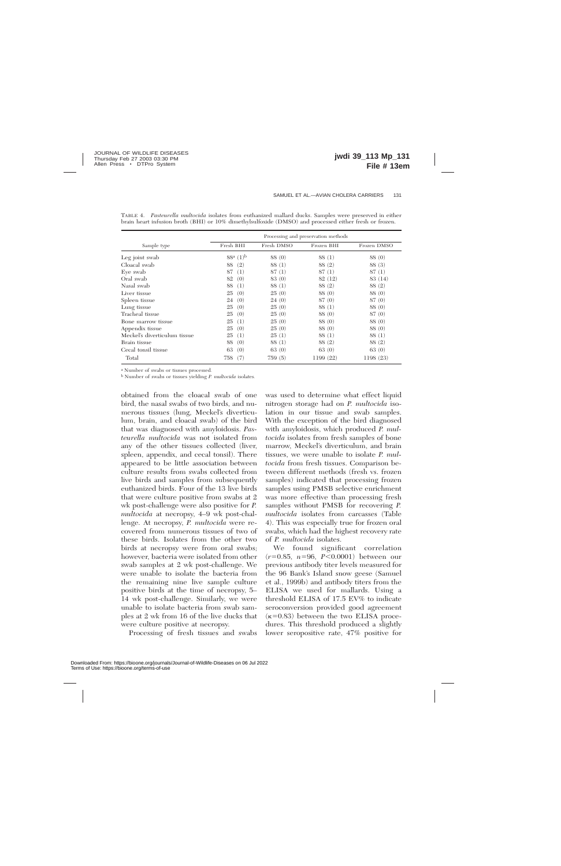|                              | Processing and preservation methods |            |            |             |  |  |
|------------------------------|-------------------------------------|------------|------------|-------------|--|--|
| Sample type                  | Fresh BHI                           | Fresh DMSO | Frozen BHI | Frozen DMSO |  |  |
| Leg joint swab               | $88^{\rm a}$ $(1)^{\rm b}$          | 88 (0)     | 88 (1)     | 88 (0)      |  |  |
| Cloacal swab                 | (2)<br>88                           | 88 (1)     | 88 (2)     | 88 (3)      |  |  |
| Eye swab                     | 87<br>(1)                           | 87(1)      | 87(1)      | 87(1)       |  |  |
| Oral swab                    | 82<br>(0)                           | 83 (0)     | 82 (12)    | 83 (14)     |  |  |
| Nasal swab                   | 88<br>$\left(1\right)$              | 88 (1)     | 88 (2)     | 88 (2)      |  |  |
| Liver tissue                 | (0)<br>25                           | 25(0)      | 88 (0)     | 88 (0)      |  |  |
| Spleen tissue                | (0)<br>24                           | 24(0)      | 87(0)      | 87(0)       |  |  |
| Lung tissue                  | 25<br>(0)                           | 25(0)      | 88 (1)     | 88 (0)      |  |  |
| Tracheal tissue              | 25<br>(0)                           | 25(0)      | 88 (0)     | 87(0)       |  |  |
| Bone marrow tissue           | 25<br>$\left(1\right)$              | 25(0)      | 88 (0)     | 88 (0)      |  |  |
| Appendix tissue              | (0)<br>25                           | 25(0)      | 88 (0)     | 88 (0)      |  |  |
| Meckel's diverticulum tissue | $\left(1\right)$<br>25              | 25<br>(1)  | 88 (1)     | 88 (1)      |  |  |
| Brain tissue                 | (0)<br>88                           | 88 (1)     | 88 (2)     | 88 (2)      |  |  |
| Cecal tonsil tissue          | 63<br>(0)                           | 63(0)      | 63(0)      | 63(0)       |  |  |
| Total                        | 758<br>(7)                          | 759(5)     | 1199 (22)  | 1198 (23)   |  |  |

TABLE 4. *Pasteurella multocida* isolates from euthanized mallard ducks. Samples were preserved in either brain heart infusion broth (BHI) or 10% dimethylsulfoxide (DMSO) and processed either fresh or frozen.

<sup>a</sup> Number of swabs or tissues processed.

<sup>b</sup> Number of swabs or tissues yielding *P. multocida* isolates.

obtained from the cloacal swab of one bird, the nasal swabs of two birds, and numerous tissues (lung, Meckel's diverticulum, brain, and cloacal swab) of the bird that was diagnosed with amyloidosis. *Pasteurella multocida* was not isolated from any of the other tissues collected (liver, spleen, appendix, and cecal tonsil). There appeared to be little association between culture results from swabs collected from live birds and samples from subsequently euthanized birds. Four of the 13 live birds that were culture positive from swabs at 2 wk post-challenge were also positive for *P. multocida* at necropsy, 4–9 wk post-challenge. At necropsy, *P. multocida* were recovered from numerous tissues of two of these birds. Isolates from the other two birds at necropsy were from oral swabs; however, bacteria were isolated from other swab samples at 2 wk post-challenge. We were unable to isolate the bacteria from the remaining nine live sample culture positive birds at the time of necropsy, 5– 14 wk post-challenge. Similarly, we were unable to isolate bacteria from swab samples at 2 wk from 16 of the live ducks that were culture positive at necropsy.

Processing of fresh tissues and swabs

was used to determine what effect liquid nitrogen storage had on *P. multocida* isolation in our tissue and swab samples. With the exception of the bird diagnosed with amyloidosis, which produced *P. multocida* isolates from fresh samples of bone marrow, Meckel's diverticulum, and brain tissues, we were unable to isolate *P. multocida* from fresh tissues. Comparison between different methods (fresh vs. frozen samples) indicated that processing frozen samples using PMSB selective enrichment was more effective than processing fresh samples without PMSB for recovering *P. multocida* isolates from carcasses (Table 4). This was especially true for frozen oral swabs, which had the highest recovery rate of *P. multocida* isolates.

We found significant correlation  $(r=0.85, n=96, P<0.0001)$  between our previous antibody titer levels measured for the 96 Bank's Island snow geese (Samuel et al., 1999b) and antibody titers from the ELISA we used for mallards. Using a threshold ELISA of 17.5 EV% to indicate seroconversion provided good agreement  $(\kappa=0.83)$  between the two ELISA procedures. This threshold produced a slightly lower seropositive rate, 47% positive for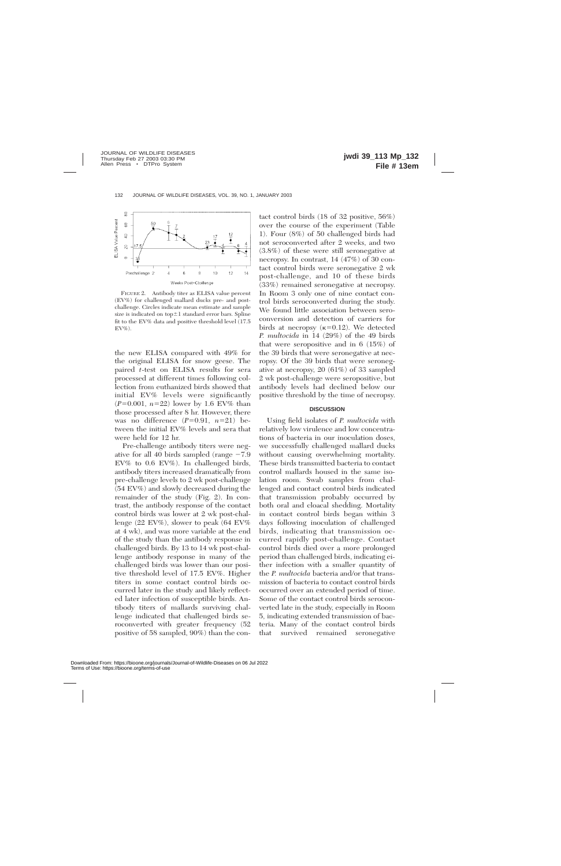

FIGURE 2. Antibody titer as ELISA value percent (EV%) for challenged mallard ducks pre- and postchallenge. Circles indicate mean estimate and sample size is indicated on top $\pm1$  standard error bars. Spline fit to the EV% data and positive threshold level (17.5  $EV\%$ ).

the new ELISA compared with 49% for the original ELISA for snow geese. The paired *t*-test on ELISA results for sera processed at different times following collection from euthanized birds showed that initial EV% levels were significantly  $(P=0.001, n=22)$  lower by 1.6 EV% than those processed after 8 hr. However, there was no difference  $(P=0.91, n=21)$  between the initial EV% levels and sera that were held for 12 hr.

Pre-challenge antibody titers were negative for all 40 birds sampled (range  $-7.9$ EV% to 0.6 EV%). In challenged birds, antibody titers increased dramatically from pre-challenge levels to 2 wk post-challenge (54 EV%) and slowly decreased during the remainder of the study (Fig. 2). In contrast, the antibody response of the contact control birds was lower at 2 wk post-challenge (22 EV%), slower to peak (64 EV% at 4 wk), and was more variable at the end of the study than the antibody response in challenged birds. By 13 to 14 wk post-challenge antibody response in many of the challenged birds was lower than our positive threshold level of 17.5 EV%. Higher titers in some contact control birds occurred later in the study and likely reflected later infection of susceptible birds. Antibody titers of mallards surviving challenge indicated that challenged birds seroconverted with greater frequency (52 positive of 58 sampled, 90%) than the contact control birds (18 of 32 positive, 56%) over the course of the experiment (Table 1). Four (8%) of 50 challenged birds had not seroconverted after 2 weeks, and two (3.8%) of these were still seronegative at necropsy. In contrast, 14 (47%) of 30 contact control birds were seronegative 2 wk post-challenge, and 10 of these birds (33%) remained seronegative at necropsy. In Room 3 only one of nine contact control birds seroconverted during the study. We found little association between seroconversion and detection of carriers for birds at necropsy  $(k=0.12)$ . We detected *P. multocida* in 14 (29%) of the 49 birds that were seropositive and in 6 (15%) of the 39 birds that were seronegative at necropsy. Of the 39 birds that were seronegative at necropsy, 20 (61%) of 33 sampled 2 wk post-challenge were seropositive, but antibody levels had declined below our positive threshold by the time of necropsy.

#### **DISCUSSION**

Using field isolates of *P. multocida* with relatively low virulence and low concentrations of bacteria in our inoculation doses, we successfully challenged mallard ducks without causing overwhelming mortality. These birds transmitted bacteria to contact control mallards housed in the same isolation room. Swab samples from challenged and contact control birds indicated that transmission probably occurred by both oral and cloacal shedding. Mortality in contact control birds began within 3 days following inoculation of challenged birds, indicating that transmission occurred rapidly post-challenge. Contact control birds died over a more prolonged period than challenged birds, indicating either infection with a smaller quantity of the *P. multocida* bacteria and/or that transmission of bacteria to contact control birds occurred over an extended period of time. Some of the contact control birds seroconverted late in the study, especially in Room 5, indicating extended transmission of bacteria. Many of the contact control birds that survived remained seronegative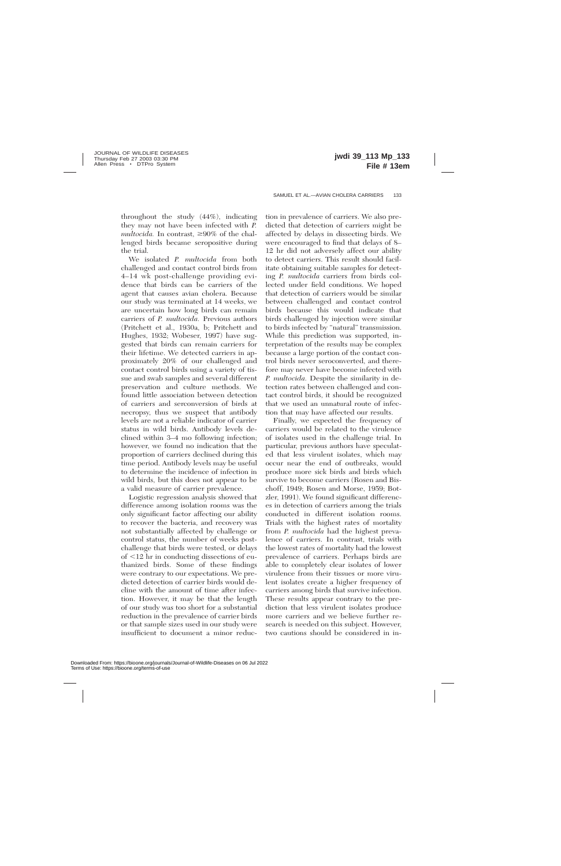throughout the study (44%), indicating they may not have been infected with *P.*  $multocida$ . In contrast,  $\geq 90\%$  of the challenged birds became seropositive during the trial.

We isolated *P. multocida* from both challenged and contact control birds from 4–14 wk post-challenge providing evidence that birds can be carriers of the agent that causes avian cholera. Because our study was terminated at 14 weeks, we are uncertain how long birds can remain carriers of *P. multocida.* Previous authors (Pritchett et al., 1930a, b; Pritchett and Hughes, 1932; Wobeser, 1997) have suggested that birds can remain carriers for their lifetime. We detected carriers in approximately 20% of our challenged and contact control birds using a variety of tissue and swab samples and several different preservation and culture methods. We found little association between detection of carriers and serconversion of birds at necropsy, thus we suspect that antibody levels are not a reliable indicator of carrier status in wild birds. Antibody levels declined within 3–4 mo following infection; however, we found no indication that the proportion of carriers declined during this time period. Antibody levels may be useful to determine the incidence of infection in wild birds, but this does not appear to be a valid measure of carrier prevalence.

Logistic regression analysis showed that difference among isolation rooms was the only significant factor affecting our ability to recover the bacteria, and recovery was not substantially affected by challenge or control status, the number of weeks postchallenge that birds were tested, or delays  $of < 12$  hr in conducting dissections of euthanized birds. Some of these findings were contrary to our expectations. We predicted detection of carrier birds would decline with the amount of time after infection. However, it may be that the length of our study was too short for a substantial reduction in the prevalence of carrier birds or that sample sizes used in our study were insufficient to document a minor reduc-

tion in prevalence of carriers. We also predicted that detection of carriers might be affected by delays in dissecting birds. We were encouraged to find that delays of 8– 12 hr did not adversely affect our ability to detect carriers. This result should facilitate obtaining suitable samples for detecting *P. multocida* carriers from birds collected under field conditions. We hoped that detection of carriers would be similar between challenged and contact control birds because this would indicate that birds challenged by injection were similar to birds infected by ''natural'' transmission. While this prediction was supported, interpretation of the results may be complex because a large portion of the contact control birds never seroconverted, and therefore may never have become infected with *P. multocida.* Despite the similarity in detection rates between challenged and contact control birds, it should be recognized that we used an unnatural route of infection that may have affected our results.

Finally, we expected the frequency of carriers would be related to the virulence of isolates used in the challenge trial. In particular, previous authors have speculated that less virulent isolates, which may occur near the end of outbreaks, would produce more sick birds and birds which survive to become carriers (Rosen and Bischoff, 1949; Rosen and Morse, 1959; Botzler, 1991). We found significant differences in detection of carriers among the trials conducted in different isolation rooms. Trials with the highest rates of mortality from *P. multocida* had the highest prevalence of carriers. In contrast, trials with the lowest rates of mortality had the lowest prevalence of carriers. Perhaps birds are able to completely clear isolates of lower virulence from their tissues or more virulent isolates create a higher frequency of carriers among birds that survive infection. These results appear contrary to the prediction that less virulent isolates produce more carriers and we believe further research is needed on this subject. However, two cautions should be considered in in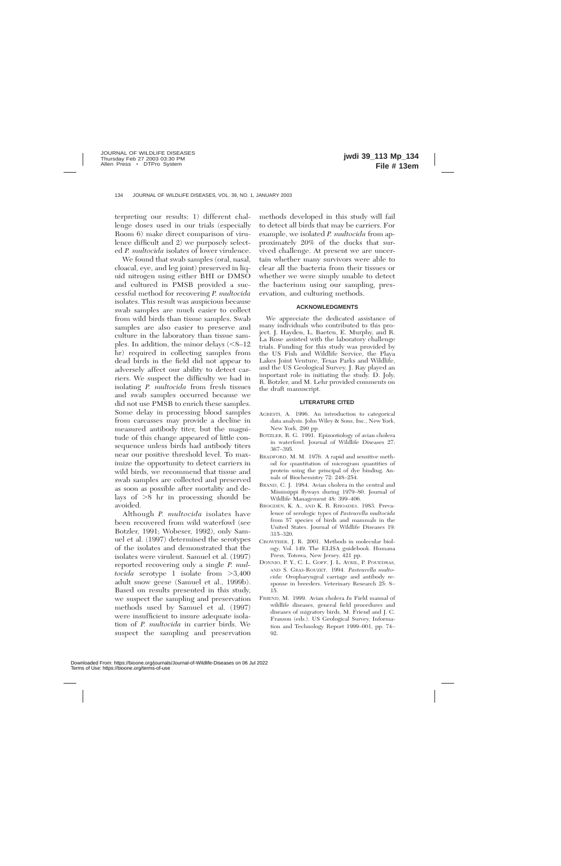terpreting our results: 1) different challenge doses used in our trials (especially Room 6) make direct comparison of virulence difficult and 2) we purposely selected *P. multocida* isolates of lower virulence.

We found that swab samples (oral, nasal, cloacal, eye, and leg joint) preserved in liquid nitrogen using either BHI or DMSO and cultured in PMSB provided a successful method for recovering *P. multocida* isolates. This result was auspicious because swab samples are much easier to collect from wild birds than tissue samples. Swab samples are also easier to preserve and culture in the laboratory than tissue samples. In addition, the minor delays  $\leq 8-12$ hr) required in collecting samples from dead birds in the field did not appear to adversely affect our ability to detect carriers. We suspect the difficulty we had in isolating *P. multocida* from fresh tissues and swab samples occurred because we did not use PMSB to enrich these samples. Some delay in processing blood samples from carcasses may provide a decline in measured antibody titer, but the magnitude of this change appeared of little consequence unless birds had antibody titers near our positive threshold level. To maximize the opportunity to detect carriers in wild birds, we recommend that tissue and swab samples are collected and preserved as soon as possible after mortality and delays of  $\geq 8$  hr in processing should be avoided.

Although *P. multocida* isolates have been recovered from wild waterfowl (see Botzler, 1991; Wobeser, 1992), only Samuel et al. (1997) determined the serotypes of the isolates and demonstrated that the isolates were virulent. Samuel et al. (1997) reported recovering only a single *P. multocida* serotype 1 isolate from  $>3,400$ adult snow geese (Samuel et al., 1999b). Based on results presented in this study, we suspect the sampling and preservation methods used by Samuel et al. (1997) were insufficient to insure adequate isolation of *P. multocida* in carrier birds. We suspect the sampling and preservation

methods developed in this study will fail to detect all birds that may be carriers. For example, we isolated *P. multocida* from approximately 20% of the ducks that survived challenge. At present we are uncertain whether many survivors were able to clear all the bacteria from their tissues or whether we were simply unable to detect the bacterium using our sampling, preservation, and culturing methods.

#### **ACKNOWLEDGMENTS**

We appreciate the dedicated assistance of many individuals who contributed to this project. J. Hayden, L. Baeten, E. Murphy, and R. La Rose assisted with the laboratory challenge trials. Funding for this study was provided by the US Fish and Wildlife Service, the Playa Lakes Joint Venture, Texas Parks and Wildlife, and the US Geological Survey. J. Ray played an important role in initiating the study. D. Joly, R. Botzler, and M. Lehr provided comments on the draft manuscript.

#### **LITERATURE CITED**

- AGRESTI, A. 1996. An introduction to categorical data analysis. John Wiley & Sons, Inc., New York, New York, 290 pp.
- BOTZLER, R. G. 1991. Epizootiology of avian cholera in waterfowl. Journal of Wildlife Diseases 27: 367–395.
- BRADFORD, M. M. 1976. A rapid and sensitive method for quantitation of microgram quantities of protein using the principal of dye binding. Annals of Biochemistry 72: 248–254.
- BRAND, C. J. 1984. Avian cholera in the central and Mississippi flyways during 1979–80. Journal of Wildlife Management 48: 399–406.
- BROGDEN, K. A., AND K. R. RHOADES. 1983. Prevalence of serologic types of *Pasteurella multocida* from 57 species of birds and mammals in the United States. Journal of Wildlife Diseases 19: 315–320.
- CROWTHER, J. R. 2001. Methods in molecular biology, Vol. 149. The ELISA guidebook. Humana Press, Totowa, New Jersey, 421 pp.
- DONNIO, P. Y., C. L. GOFF, J. L. AVRIL, P. POUEDRAS, AND S. GRAS-ROUZET. 1994. *Pasteurella multocida*: Oropharyngeal carriage and antibody response in breeders. Veterinary Research 25: 8– 15.
- FRIEND, M. 1999. Avian cholera *In* Field manual of wildlife diseases, general field procedures and diseases of migratory birds, M. Friend and J. C. Franson (eds.). US Geological Survey, Information and Technology Report 1999–001, pp. 74– 92.